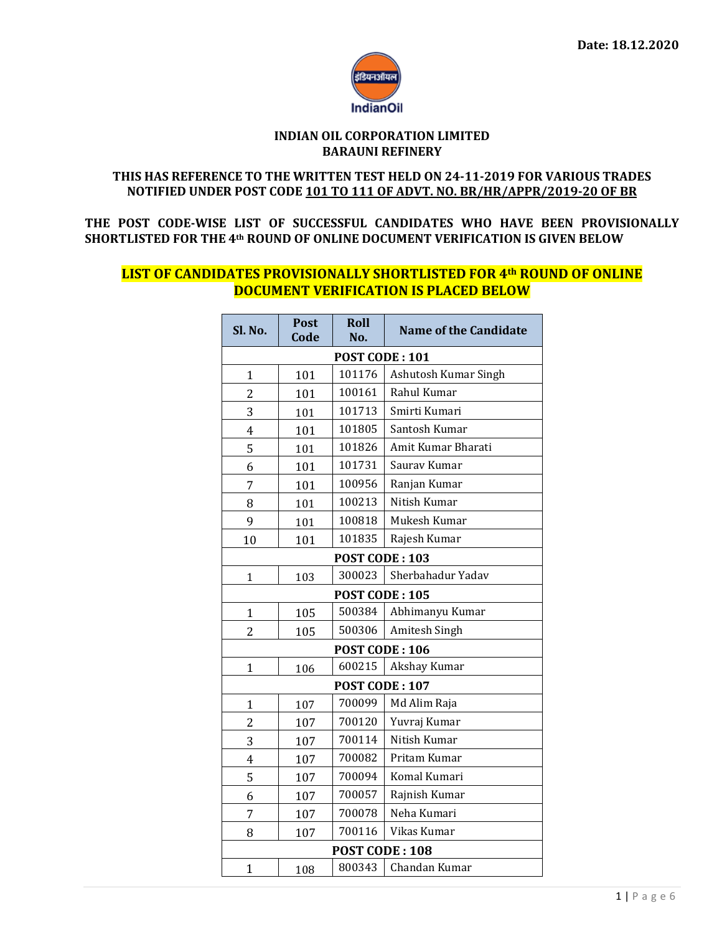

#### **INDIAN OIL CORPORATION LIMITED BARAUNI REFINERY**

#### **THIS HAS REFERENCE TO THE WRITTEN TEST HELD ON 24-11-2019 FOR VARIOUS TRADES NOTIFIED UNDER POST CODE 101 TO 111 OF ADVT. NO. BR/HR/APPR/2019-20 OF BR**

**THE POST CODE-WISE LIST OF SUCCESSFUL CANDIDATES WHO HAVE BEEN PROVISIONALLY SHORTLISTED FOR THE 4th ROUND OF ONLINE DOCUMENT VERIFICATION IS GIVEN BELOW**

# **LIST OF CANDIDATES PROVISIONALLY SHORTLISTED FOR 4th ROUND OF ONLINE DOCUMENT VERIFICATION IS PLACED BELOW**

| Sl. No.               | <b>Post</b><br>Code | Roll<br>No.    | <b>Name of the Candidate</b> |  |  |  |  |
|-----------------------|---------------------|----------------|------------------------------|--|--|--|--|
| POST CODE: 101        |                     |                |                              |  |  |  |  |
| 1                     | 101                 | 101176         | Ashutosh Kumar Singh         |  |  |  |  |
| $\overline{c}$        | 101                 | 100161         | Rahul Kumar                  |  |  |  |  |
| 3                     | 101                 | 101713         | Smirti Kumari                |  |  |  |  |
| $\overline{4}$        | 101                 | 101805         | Santosh Kumar                |  |  |  |  |
| 5                     | 101                 | 101826         | Amit Kumar Bharati           |  |  |  |  |
| 6                     | 101                 | 101731         | Saurav Kumar                 |  |  |  |  |
| 7                     | 101                 | 100956         | Ranjan Kumar                 |  |  |  |  |
| 8                     | 101                 | 100213         | Nitish Kumar                 |  |  |  |  |
| 9                     | 101                 | 100818         | Mukesh Kumar                 |  |  |  |  |
| 10                    | 101                 | 101835         | Rajesh Kumar                 |  |  |  |  |
| POST CODE: 103        |                     |                |                              |  |  |  |  |
| $\mathbf{1}$          | 103                 | 300023         | Sherbahadur Yadav            |  |  |  |  |
|                       |                     | POST CODE: 105 |                              |  |  |  |  |
| $\mathbf{1}$          | 105                 | 500384         | Abhimanyu Kumar              |  |  |  |  |
| $\overline{2}$        | 105                 | 500306         | Amitesh Singh                |  |  |  |  |
|                       |                     | POST CODE: 106 |                              |  |  |  |  |
| $\mathbf{1}$          | 106                 | 600215         | Akshay Kumar                 |  |  |  |  |
| POST CODE: 107        |                     |                |                              |  |  |  |  |
| 1                     | 107                 | 700099         | Md Alim Raja                 |  |  |  |  |
| $\overline{c}$        | 107                 | 700120         | Yuvraj Kumar                 |  |  |  |  |
| 3                     | 107                 | 700114         | Nitish Kumar                 |  |  |  |  |
| $\overline{4}$        | 107                 | 700082         | Pritam Kumar                 |  |  |  |  |
| 5                     | 107                 | 700094         | Komal Kumari                 |  |  |  |  |
| 6                     | 107                 | 700057         | Rajnish Kumar                |  |  |  |  |
| 7                     | 107                 | 700078         | Neha Kumari                  |  |  |  |  |
| 8                     | 107                 | 700116         | Vikas Kumar                  |  |  |  |  |
| <b>POST CODE: 108</b> |                     |                |                              |  |  |  |  |
| $\mathbf{1}$          | 108                 | 800343         | Chandan Kumar                |  |  |  |  |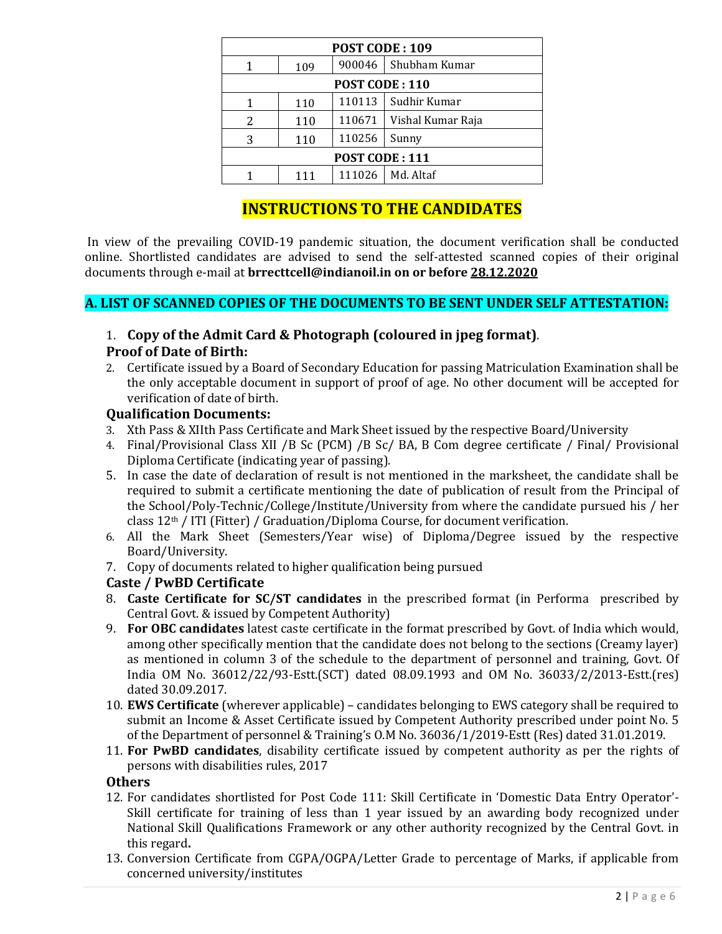| POST CODE: 109        |     |        |                   |  |  |  |
|-----------------------|-----|--------|-------------------|--|--|--|
| 1                     | 109 | 900046 | Shubham Kumar     |  |  |  |
| <b>POST CODE: 110</b> |     |        |                   |  |  |  |
| 1                     | 110 | 110113 | Sudhir Kumar      |  |  |  |
| 2                     | 110 | 110671 | Vishal Kumar Raja |  |  |  |
| 3                     | 110 | 110256 | Sunny             |  |  |  |
| <b>POST CODE: 111</b> |     |        |                   |  |  |  |
|                       | 111 | 111026 | Md. Altaf         |  |  |  |

# **INSTRUCTIONS TO THE CANDIDATES**

In view of the prevailing COVID-19 pandemic situation, the document verification shall be conducted online. Shortlisted candidates are advised to send the self-attested scanned copies of their original documents through e-mail at **brrecttcell@indianoil.in on or before 28.12.2020**

# **A. LIST OF SCANNED COPIES OF THE DOCUMENTS TO BE SENT UNDER SELF ATTESTATION:**

# 1. **Copy of the Admit Card & Photograph (coloured in jpeg format)**.

### **Proof of Date of Birth:**

2. Certificate issued by a Board of Secondary Education for passing Matriculation Examination shall be the only acceptable document in support of proof of age. No other document will be accepted for verification of date of birth.

### **Qualification Documents:**

- 3. Xth Pass & XIIth Pass Certificate and Mark Sheet issued by the respective Board/University
- 4. Final/Provisional Class XII /B Sc (PCM) /B Sc/ BA, B Com degree certificate / Final/ Provisional Diploma Certificate (indicating year of passing).
- 5. In case the date of declaration of result is not mentioned in the marksheet, the candidate shall be required to submit a certificate mentioning the date of publication of result from the Principal of the School/Poly-Technic/College/Institute/University from where the candidate pursued his / her class  $12<sup>th</sup>$  / ITI (Fitter) / Graduation/Diploma Course, for document verification.
- 6. All the Mark Sheet (Semesters/Year wise) of Diploma/Degree issued by the respective Board/University.
- 7. Copy of documents related to higher qualification being pursued

# **Caste / PwBD Certificate**

- 8. **Caste Certificate for SC/ST candidates** in the prescribed format (in Performa prescribed by Central Govt. & issued by Competent Authority)
- 9. **For OBC candidates** latest caste certificate in the format prescribed by Govt. of India which would, among other specifically mention that the candidate does not belong to the sections (Creamy layer) as mentioned in column 3 of the schedule to the department of personnel and training, Govt. Of India OM No. 36012/22/93-Estt.(SCT) dated 08.09.1993 and OM No. 36033/2/2013-Estt.(res) dated 30.09.2017.
- 10. **EWS Certificate** (wherever applicable) candidates belonging to EWS category shall be required to submit an Income & Asset Certificate issued by Competent Authority prescribed under point No. 5 of the Department of personnel & Training's O.M No. 36036/1/2019-Estt (Res) dated 31.01.2019.
- 11. **For PwBD candidates**, disability certificate issued by competent authority as per the rights of persons with disabilities rules, 2017

#### **Others**

- 12. For candidates shortlisted for Post Code 111: Skill Certificate in 'Domestic Data Entry Operator'- Skill certificate for training of less than 1 year issued by an awarding body recognized under National Skill Qualifications Framework or any other authority recognized by the Central Govt. in this regard**.**
- 13. Conversion Certificate from CGPA/OGPA/Letter Grade to percentage of Marks, if applicable from concerned university/institutes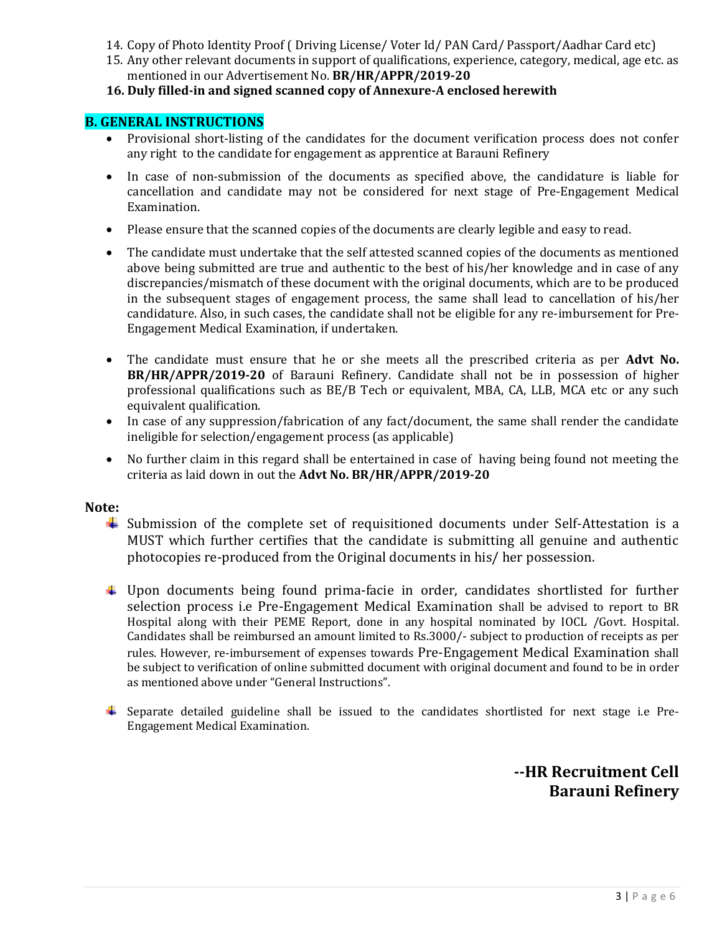- 14. Copy of Photo Identity Proof ( Driving License/ Voter Id/ PAN Card/ Passport/Aadhar Card etc)
- 15. Any other relevant documents in support of qualifications, experience, category, medical, age etc. as mentioned in our Advertisement No. **BR/HR/APPR/2019-20**
- **16. Duly filled-in and signed scanned copy of Annexure-A enclosed herewith**

#### **B. GENERAL INSTRUCTIONS**

- Provisional short-listing of the candidates for the document verification process does not confer any right to the candidate for engagement as apprentice at Barauni Refinery
- In case of non-submission of the documents as specified above, the candidature is liable for cancellation and candidate may not be considered for next stage of Pre-Engagement Medical Examination.
- Please ensure that the scanned copies of the documents are clearly legible and easy to read.
- The candidate must undertake that the self attested scanned copies of the documents as mentioned above being submitted are true and authentic to the best of his/her knowledge and in case of any discrepancies/mismatch of these document with the original documents, which are to be produced in the subsequent stages of engagement process, the same shall lead to cancellation of his/her candidature. Also, in such cases, the candidate shall not be eligible for any re-imbursement for Pre-Engagement Medical Examination, if undertaken.
- The candidate must ensure that he or she meets all the prescribed criteria as per **Advt No. BR/HR/APPR/2019-20** of Barauni Refinery. Candidate shall not be in possession of higher professional qualifications such as BE/B Tech or equivalent, MBA, CA, LLB, MCA etc or any such equivalent qualification.
- In case of any suppression/fabrication of any fact/document, the same shall render the candidate ineligible for selection/engagement process (as applicable)
- No further claim in this regard shall be entertained in case of having being found not meeting the criteria as laid down in out the **Advt No. BR/HR/APPR/2019-20**

#### **Note:**

- Submission of the complete set of requisitioned documents under Self-Attestation is a MUST which further certifies that the candidate is submitting all genuine and authentic photocopies re-produced from the Original documents in his/ her possession.
- Upon documents being found prima-facie in order, candidates shortlisted for further selection process i.e Pre-Engagement Medical Examination shall be advised to report to BR Hospital along with their PEME Report, done in any hospital nominated by IOCL /Govt. Hospital. Candidates shall be reimbursed an amount limited to Rs.3000/- subject to production of receipts as per rules. However, re-imbursement of expenses towards Pre-Engagement Medical Examination shall be subject to verification of online submitted document with original document and found to be in order as mentioned above under "General Instructions".
- Separate detailed guideline shall be issued to the candidates shortlisted for next stage i.e Pre-Engagement Medical Examination.

**--HR Recruitment Cell Barauni Refinery**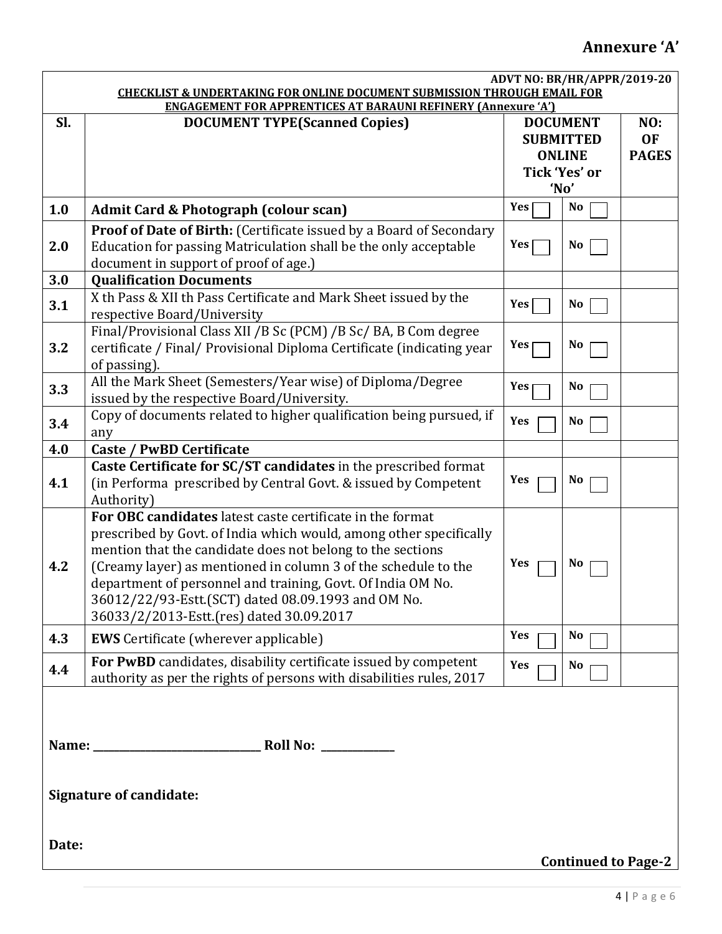# **Annexure 'A'**

|                                                                                                                                                             | ADVT NO: BR/HR/APPR/2019-20                                                |                  |                |              |  |
|-------------------------------------------------------------------------------------------------------------------------------------------------------------|----------------------------------------------------------------------------|------------------|----------------|--------------|--|
| <b>CHECKLIST &amp; UNDERTAKING FOR ONLINE DOCUMENT SUBMISSION THROUGH EMAIL FOR</b><br><b>ENGAGEMENT FOR APPRENTICES AT BARAUNI REFINERY (Annexure 'A')</b> |                                                                            |                  |                |              |  |
| Sl.                                                                                                                                                         | <b>DOCUMENT TYPE(Scanned Copies)</b>                                       | <b>DOCUMENT</b>  |                | NO:          |  |
|                                                                                                                                                             |                                                                            | <b>SUBMITTED</b> |                | <b>OF</b>    |  |
|                                                                                                                                                             |                                                                            | <b>ONLINE</b>    |                | <b>PAGES</b> |  |
|                                                                                                                                                             |                                                                            | Tick 'Yes' or    |                |              |  |
|                                                                                                                                                             |                                                                            | 'No'             |                |              |  |
|                                                                                                                                                             |                                                                            | Yes              | <b>No</b>      |              |  |
| 1.0                                                                                                                                                         | Admit Card & Photograph (colour scan)                                      |                  |                |              |  |
|                                                                                                                                                             | <b>Proof of Date of Birth:</b> (Certificate issued by a Board of Secondary |                  |                |              |  |
| 2.0                                                                                                                                                         | Education for passing Matriculation shall be the only acceptable           | Yes              | No             |              |  |
|                                                                                                                                                             | document in support of proof of age.)                                      |                  |                |              |  |
| 3.0                                                                                                                                                         | <b>Qualification Documents</b>                                             |                  |                |              |  |
| 3.1                                                                                                                                                         | X th Pass & XII th Pass Certificate and Mark Sheet issued by the           | Yes              | N <sub>0</sub> |              |  |
|                                                                                                                                                             | respective Board/University                                                |                  |                |              |  |
|                                                                                                                                                             | Final/Provisional Class XII /B Sc (PCM) /B Sc/ BA, B Com degree            |                  |                |              |  |
| 3.2                                                                                                                                                         | certificate / Final/ Provisional Diploma Certificate (indicating year      | Yes              | <b>No</b>      |              |  |
|                                                                                                                                                             | of passing).                                                               |                  |                |              |  |
|                                                                                                                                                             | All the Mark Sheet (Semesters/Year wise) of Diploma/Degree                 | Yes              | No             |              |  |
| 3.3                                                                                                                                                         | issued by the respective Board/University.                                 |                  |                |              |  |
|                                                                                                                                                             | Copy of documents related to higher qualification being pursued, if        | Yes              | No             |              |  |
| 3.4                                                                                                                                                         | any                                                                        |                  |                |              |  |
| 4.0                                                                                                                                                         | <b>Caste / PwBD Certificate</b>                                            |                  |                |              |  |
|                                                                                                                                                             | Caste Certificate for SC/ST candidates in the prescribed format            |                  |                |              |  |
| 4.1                                                                                                                                                         | (in Performa prescribed by Central Govt. & issued by Competent             | Yes              | N <sub>0</sub> |              |  |
|                                                                                                                                                             | Authority)                                                                 |                  |                |              |  |
|                                                                                                                                                             | For OBC candidates latest caste certificate in the format                  |                  |                |              |  |
|                                                                                                                                                             | prescribed by Govt. of India which would, among other specifically         |                  |                |              |  |
|                                                                                                                                                             | mention that the candidate does not belong to the sections                 |                  |                |              |  |
| 4.2                                                                                                                                                         | (Creamy layer) as mentioned in column 3 of the schedule to the             | Yes              | No             |              |  |
|                                                                                                                                                             | department of personnel and training, Govt. Of India OM No.                |                  |                |              |  |
|                                                                                                                                                             | 36012/22/93-Estt.(SCT) dated 08.09.1993 and OM No.                         |                  |                |              |  |
|                                                                                                                                                             | 36033/2/2013-Estt.(res) dated 30.09.2017                                   |                  |                |              |  |
| 4.3                                                                                                                                                         | <b>EWS</b> Certificate (wherever applicable)                               | Yes              | No             |              |  |
|                                                                                                                                                             |                                                                            |                  |                |              |  |
| 4.4                                                                                                                                                         | For PwBD candidates, disability certificate issued by competent            | Yes              | No             |              |  |
|                                                                                                                                                             | authority as per the rights of persons with disabilities rules, 2017       |                  |                |              |  |
|                                                                                                                                                             |                                                                            |                  |                |              |  |
|                                                                                                                                                             |                                                                            |                  |                |              |  |
|                                                                                                                                                             |                                                                            |                  |                |              |  |
|                                                                                                                                                             |                                                                            |                  |                |              |  |
|                                                                                                                                                             |                                                                            |                  |                |              |  |
| <b>Signature of candidate:</b>                                                                                                                              |                                                                            |                  |                |              |  |
|                                                                                                                                                             |                                                                            |                  |                |              |  |
|                                                                                                                                                             |                                                                            |                  |                |              |  |
| Date:                                                                                                                                                       |                                                                            |                  |                |              |  |
| <b>Continued to Page-2</b>                                                                                                                                  |                                                                            |                  |                |              |  |
|                                                                                                                                                             |                                                                            |                  |                |              |  |